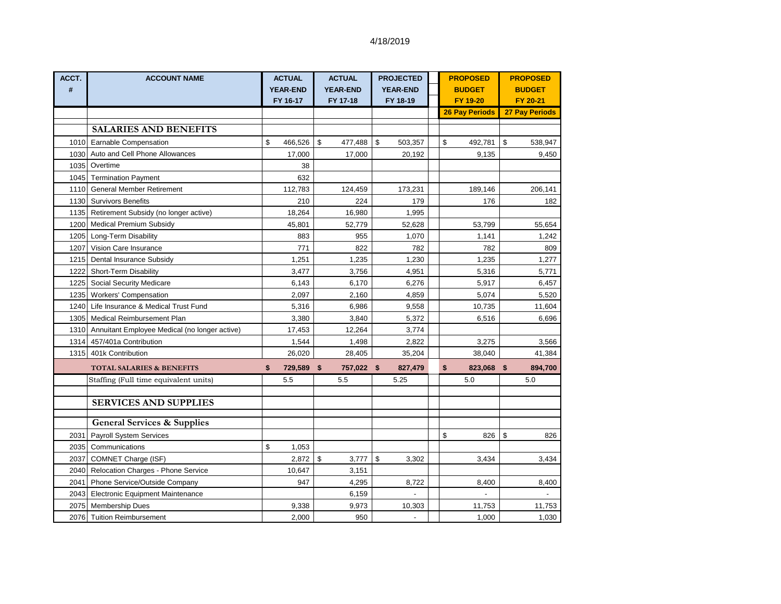| ACCT. | <b>ACCOUNT NAME</b>                                | <b>ACTUAL</b>               | <b>ACTUAL</b>               | <b>PROJECTED</b>            | <b>PROPOSED</b>           | <b>PROPOSED</b>           |
|-------|----------------------------------------------------|-----------------------------|-----------------------------|-----------------------------|---------------------------|---------------------------|
| #     |                                                    | <b>YEAR-END</b><br>FY 16-17 | <b>YEAR-END</b><br>FY 17-18 | <b>YEAR-END</b><br>FY 18-19 | <b>BUDGET</b><br>FY 19-20 | <b>BUDGET</b><br>FY 20-21 |
|       |                                                    |                             |                             |                             | <b>26 Pay Periods</b>     | <b>27 Pay Periods</b>     |
|       |                                                    |                             |                             |                             |                           |                           |
|       | <b>SALARIES AND BENEFITS</b>                       |                             |                             |                             |                           |                           |
|       | 1010 Earnable Compensation                         | \$<br>466,526               | \$<br>477,488               | \$<br>503,357               | \$<br>492,781             | \$<br>538,947             |
|       | 1030 Auto and Cell Phone Allowances                | 17,000                      | 17,000                      | 20,192                      | 9,135                     | 9,450                     |
|       | 1035 Overtime                                      | 38                          |                             |                             |                           |                           |
|       | 1045 Termination Payment                           | 632                         |                             |                             |                           |                           |
|       | 1110 General Member Retirement                     | 112,783                     | 124,459                     | 173,231                     | 189,146                   | 206,141                   |
|       | 1130 Survivors Benefits                            | 210                         | 224                         | 179                         | 176                       | 182                       |
|       | 1135 Retirement Subsidy (no longer active)         | 18,264                      | 16,980                      | 1,995                       |                           |                           |
|       | 1200 Medical Premium Subsidy                       | 45,801                      | 52,779                      | 52,628                      | 53,799                    | 55,654                    |
|       | 1205 Long-Term Disability                          | 883                         | 955                         | 1,070                       | 1,141                     | 1,242                     |
| 1207  | Vision Care Insurance                              | 771                         | 822                         | 782                         | 782                       | 809                       |
| 1215  | Dental Insurance Subsidy                           | 1,251                       | 1,235                       | 1,230                       | 1,235                     | 1,277                     |
|       | 1222 Short-Term Disability                         | 3,477                       | 3,756                       | 4,951                       | 5,316                     | 5,771                     |
|       | 1225 Social Security Medicare                      | 6,143                       | 6,170                       | 6,276                       | 5,917                     | 6,457                     |
|       | 1235 Workers' Compensation                         | 2,097                       | 2,160                       | 4,859                       | 5,074                     | 5,520                     |
|       | 1240 Life Insurance & Medical Trust Fund           | 5,316                       | 6,986                       | 9,558                       | 10,735                    | 11,604                    |
|       | 1305 Medical Reimbursement Plan                    | 3,380                       | 3,840                       | 5,372                       | 6,516                     | 6,696                     |
|       | 1310 Annuitant Employee Medical (no longer active) | 17,453                      | 12,264                      | 3,774                       |                           |                           |
|       | 1314 457/401a Contribution                         | 1,544                       | 1,498                       | 2,822                       | 3,275                     | 3,566                     |
|       | 1315 401k Contribution                             | 26,020                      | 28,405                      | 35,204                      | 38,040                    | 41,384                    |
|       | <b>TOTAL SALARIES &amp; BENEFITS</b>               | \$<br>729,589               | \$<br>757,022 \$            | 827,479                     | \$<br>823,068 \$          | 894,700                   |
|       | Staffing (Full time equivalent units)              | 5.5                         | 5.5                         | 5.25                        | 5.0                       | 5.0                       |
|       |                                                    |                             |                             |                             |                           |                           |
|       | <b>SERVICES AND SUPPLIES</b>                       |                             |                             |                             |                           |                           |
|       | <b>General Services &amp; Supplies</b>             |                             |                             |                             |                           |                           |
| 2031  | <b>Payroll System Services</b>                     |                             |                             |                             | \$<br>826                 | \$<br>826                 |
| 2035  | Communications                                     | \$<br>1,053                 |                             |                             |                           |                           |
| 2037  | COMNET Charge (ISF)                                | 2,872                       | \$<br>3,777                 | \$<br>3,302                 | 3,434                     | 3,434                     |
|       | 2040 Relocation Charges - Phone Service            | 10,647                      | 3,151                       |                             |                           |                           |
| 2041  | Phone Service/Outside Company                      | 947                         | 4,295                       | 8,722                       | 8,400                     | 8,400                     |
|       | 2043 Electronic Equipment Maintenance              |                             | 6,159                       |                             |                           |                           |
|       | 2075 Membership Dues                               | 9,338                       | 9,973                       | 10,303                      | 11,753                    | 11,753                    |
|       | 2076 Tuition Reimbursement                         | 2,000                       | 950                         |                             | 1,000                     | 1,030                     |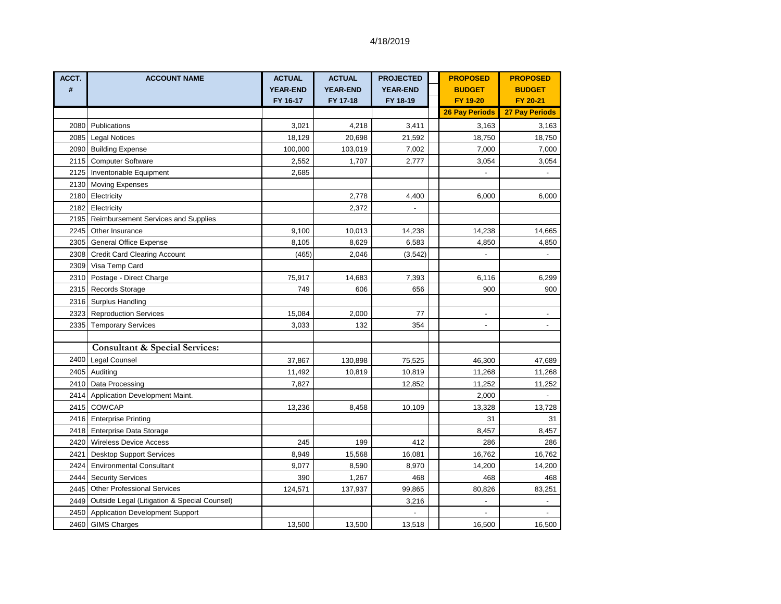| ACCT. | <b>ACCOUNT NAME</b>                               | <b>ACTUAL</b>   | <b>ACTUAL</b>   | <b>PROJECTED</b>         | <b>PROPOSED</b>          | <b>PROPOSED</b>          |
|-------|---------------------------------------------------|-----------------|-----------------|--------------------------|--------------------------|--------------------------|
| #     |                                                   | <b>YEAR-END</b> | <b>YEAR-END</b> | <b>YEAR-END</b>          | <b>BUDGET</b>            | <b>BUDGET</b>            |
|       |                                                   | FY 16-17        | FY 17-18        | FY 18-19                 | FY 19-20                 | FY 20-21                 |
|       |                                                   |                 |                 |                          | <b>26 Pay Periods</b>    | <b>27 Pay Periods</b>    |
|       | 2080 Publications                                 | 3,021           | 4,218           | 3,411                    | 3,163                    | 3,163                    |
|       | 2085 Legal Notices                                | 18,129          | 20,698          | 21,592                   | 18,750                   | 18,750                   |
|       | 2090 Building Expense                             | 100,000         | 103,019         | 7,002                    | 7,000                    | 7,000                    |
|       | 2115 Computer Software                            | 2,552           | 1,707           | 2,777                    | 3,054                    | 3,054                    |
| 2125  | Inventoriable Equipment                           | 2,685           |                 |                          |                          | $\blacksquare$           |
| 2130  | <b>Moving Expenses</b>                            |                 |                 |                          |                          |                          |
| 2180  | Electricity                                       |                 | 2,778           | 4,400                    | 6,000                    | 6,000                    |
| 2182  | Electricity                                       |                 | 2,372           | $\overline{\phantom{a}}$ |                          |                          |
| 2195  | <b>Reimbursement Services and Supplies</b>        |                 |                 |                          |                          |                          |
| 2245  | Other Insurance                                   | 9,100           | 10,013          | 14,238                   | 14,238                   | 14,665                   |
| 2305  | <b>General Office Expense</b>                     | 8,105           | 8,629           | 6,583                    | 4,850                    | 4,850                    |
|       | 2308 Credit Card Clearing Account                 | (465)           | 2,046           | (3, 542)                 |                          |                          |
| 2309  | Visa Temp Card                                    |                 |                 |                          |                          |                          |
| 2310  | Postage - Direct Charge                           | 75,917          | 14,683          | 7,393                    | 6,116                    | 6,299                    |
|       | 2315 Records Storage                              | 749             | 606             | 656                      | 900                      | 900                      |
|       | 2316 Surplus Handling                             |                 |                 |                          |                          |                          |
|       | 2323 Reproduction Services                        | 15,084          | 2,000           | 77                       | $\overline{\phantom{a}}$ | $\overline{\phantom{a}}$ |
|       | 2335 Temporary Services                           | 3,033           | 132             | 354                      | $\overline{\phantom{a}}$ | $\overline{\phantom{a}}$ |
|       |                                                   |                 |                 |                          |                          |                          |
|       | <b>Consultant &amp; Special Services:</b>         |                 |                 |                          |                          |                          |
|       | 2400 Legal Counsel                                | 37,867          | 130,898         | 75,525                   | 46,300                   | 47,689                   |
|       | 2405 Auditing                                     | 11,492          | 10,819          | 10,819                   | 11,268                   | 11,268                   |
|       | 2410 Data Processing                              | 7,827           |                 | 12,852                   | 11,252                   | 11,252                   |
|       | 2414 Application Development Maint.               |                 |                 |                          | 2,000                    |                          |
| 2415  | <b>COWCAP</b>                                     | 13,236          | 8,458           | 10,109                   | 13,328                   | 13,728                   |
|       | 2416 Enterprise Printing                          |                 |                 |                          | 31                       | 31                       |
| 2418  | <b>Enterprise Data Storage</b>                    |                 |                 |                          | 8,457                    | 8,457                    |
|       | 2420 Wireless Device Access                       | 245             | 199             | 412                      | 286                      | 286                      |
| 2421  | <b>Desktop Support Services</b>                   | 8,949           | 15,568          | 16,081                   | 16,762                   | 16,762                   |
| 2424  | <b>Environmental Consultant</b>                   | 9,077           | 8,590           | 8,970                    | 14,200                   | 14,200                   |
| 2444  | <b>Security Services</b>                          | 390             | 1,267           | 468                      | 468                      | 468                      |
| 2445  | <b>Other Professional Services</b>                | 124,571         | 137,937         | 99,865                   | 80,826                   | 83,251                   |
|       | 2449 Outside Legal (Litigation & Special Counsel) |                 |                 | 3,216                    |                          | $\overline{\phantom{a}}$ |
|       | 2450 Application Development Support              |                 |                 |                          |                          |                          |
|       | 2460 GIMS Charges                                 | 13,500          | 13,500          | 13,518                   | 16,500                   | 16,500                   |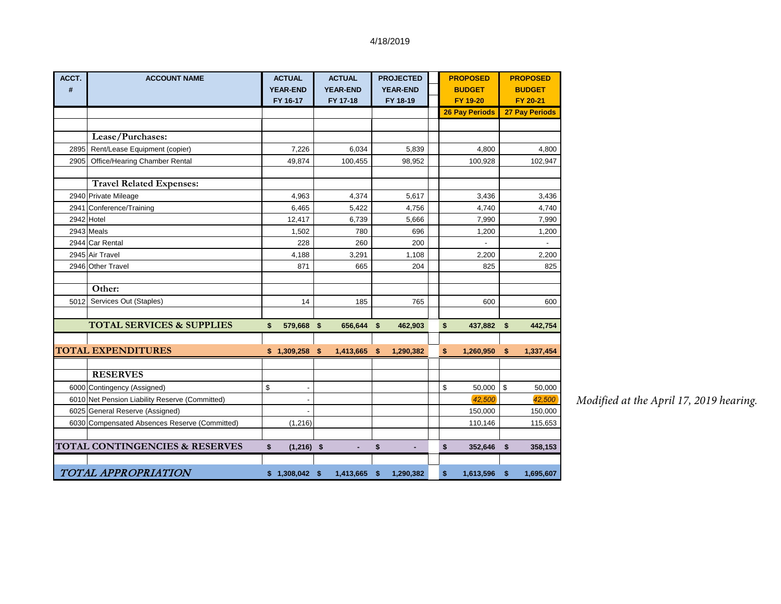| ACCT. | <b>ACCOUNT NAME</b>                            | <b>ACTUAL</b>      | <b>ACTUAL</b>   |     | <b>PROJECTED</b> | <b>PROPOSED</b>       | <b>PROPOSED</b>       |
|-------|------------------------------------------------|--------------------|-----------------|-----|------------------|-----------------------|-----------------------|
| #     |                                                | <b>YEAR-END</b>    | <b>YEAR-END</b> |     | <b>YEAR-END</b>  | <b>BUDGET</b>         | <b>BUDGET</b>         |
|       |                                                | FY 16-17           | FY 17-18        |     | FY 18-19         | FY 19-20              | FY 20-21              |
|       |                                                |                    |                 |     |                  | <b>26 Pay Periods</b> | <b>27 Pay Periods</b> |
|       |                                                |                    |                 |     |                  |                       |                       |
|       | Lease/Purchases:                               |                    |                 |     |                  |                       |                       |
| 2895  | Rent/Lease Equipment (copier)                  | 7,226              | 6,034           |     | 5,839            | 4,800                 | 4,800                 |
| 2905  | Office/Hearing Chamber Rental                  | 49,874             | 100,455         |     | 98,952           | 100,928               | 102,947               |
|       |                                                |                    |                 |     |                  |                       |                       |
|       | <b>Travel Related Expenses:</b>                |                    |                 |     |                  |                       |                       |
|       | 2940 Private Mileage                           | 4,963              | 4,374           |     | 5,617            | 3,436                 | 3,436                 |
|       | 2941 Conference/Training                       | 6,465              | 5,422           |     | 4,756            | 4,740                 | 4,740                 |
|       | 2942 Hotel                                     | 12,417             | 6,739           |     | 5,666            | 7,990                 | 7,990                 |
|       | 2943 Meals                                     | 1,502              | 780             |     | 696              | 1,200                 | 1,200                 |
|       | 2944 Car Rental                                | 228                | 260             |     | 200              |                       |                       |
|       | 2945 Air Travel                                | 4,188              | 3,291           |     | 1,108            | 2,200                 | 2,200                 |
|       | 2946 Other Travel                              | 871                | 665             |     | 204              | 825                   | 825                   |
|       |                                                |                    |                 |     |                  |                       |                       |
|       | Other:                                         |                    |                 |     |                  |                       |                       |
| 5012  | Services Out (Staples)                         | 14                 | 185             |     | 765              | 600                   | 600                   |
|       |                                                |                    |                 |     |                  |                       |                       |
|       | <b>TOTAL SERVICES &amp; SUPPLIES</b>           | \$<br>579,668 \$   | 656,644 \$      |     | 462,903          | \$<br>437,882         | \$<br>442,754         |
|       |                                                |                    |                 |     |                  |                       |                       |
|       | <b>TOTAL EXPENDITURES</b>                      | \$1,309,258        | \$<br>1,413,665 | \$  | 1,290,382        | \$<br>1,260,950       | \$<br>1,337,454       |
|       |                                                |                    |                 |     |                  |                       |                       |
|       | <b>RESERVES</b>                                |                    |                 |     |                  |                       |                       |
|       | 6000 Contingency (Assigned)                    | \$                 |                 |     |                  | \$<br>50,000          | \$<br>50,000          |
|       | 6010 Net Pension Liability Reserve (Committed) |                    |                 |     |                  | 42,500                | 42,500                |
|       | 6025 General Reserve (Assigned)                |                    |                 |     |                  | 150,000               | 150,000               |
|       | 6030 Compensated Absences Reserve (Committed)  | (1, 216)           |                 |     |                  | 110,146               | 115,653               |
|       |                                                |                    |                 |     |                  |                       |                       |
|       | <b>TOTAL CONTINGENCIES &amp; RESERVES</b>      | \$<br>$(1,216)$ \$ | ٠               | \$  | ٠                | \$<br>352,646         | \$<br>358,153         |
|       |                                                |                    |                 |     |                  |                       |                       |
|       | TOTAL APPROPRIATION                            | $$1,308,042$ \$    | 1,413,665       | -\$ | 1,290,382        | \$<br>1,613,596       | \$<br>1,695,607       |

*Modified at the April 17, 2019 hearing.*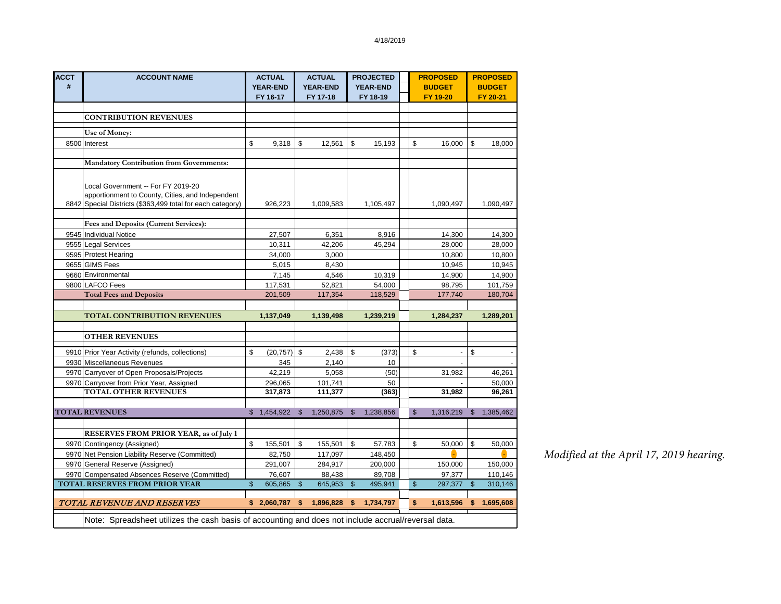| <b>ACCT</b><br># | <b>ACCOUNT NAME</b>                                                                                                                                  |              | <b>ACTUAL</b><br><b>YEAR-END</b> |                | <b>ACTUAL</b><br><b>YEAR-END</b> |                | <b>PROJECTED</b><br><b>YEAR-END</b> | <b>PROPOSED</b><br><b>BUDGET</b> |                | <b>PROPOSED</b><br><b>BUDGET</b> |
|------------------|------------------------------------------------------------------------------------------------------------------------------------------------------|--------------|----------------------------------|----------------|----------------------------------|----------------|-------------------------------------|----------------------------------|----------------|----------------------------------|
|                  |                                                                                                                                                      |              | FY 16-17                         |                | FY 17-18                         |                | FY 18-19                            | FY 19-20                         |                | FY 20-21                         |
|                  |                                                                                                                                                      |              |                                  |                |                                  |                |                                     |                                  |                |                                  |
|                  | <b>CONTRIBUTION REVENUES</b>                                                                                                                         |              |                                  |                |                                  |                |                                     |                                  |                |                                  |
|                  | Use of Money:                                                                                                                                        |              |                                  |                |                                  |                |                                     |                                  |                |                                  |
|                  | 8500 Interest                                                                                                                                        | \$           | 9,318                            | \$             | 12,561                           | \$             | 15,193                              | \$<br>16,000                     | \$             | 18,000                           |
|                  |                                                                                                                                                      |              |                                  |                |                                  |                |                                     |                                  |                |                                  |
|                  | <b>Mandatory Contribution from Governments:</b>                                                                                                      |              |                                  |                |                                  |                |                                     |                                  |                |                                  |
|                  | Local Government -- For FY 2019-20<br>apportionment to County, Cities, and Independent<br>8842 Special Districts (\$363,499 total for each category) |              | 926,223                          |                | 1,009,583                        |                | 1,105,497                           | 1,090,497                        |                | 1,090,497                        |
|                  | Fees and Deposits (Current Services):                                                                                                                |              |                                  |                |                                  |                |                                     |                                  |                |                                  |
|                  | 9545 Individual Notice                                                                                                                               |              | 27,507                           |                | 6,351                            |                | 8.916                               | 14,300                           |                | 14,300                           |
|                  | 9555 Legal Services                                                                                                                                  |              | 10,311                           |                | 42,206                           |                | 45,294                              | 28,000                           |                | 28,000                           |
|                  | 9595 Protest Hearing                                                                                                                                 |              | 34,000                           |                | 3,000                            |                |                                     | 10,800                           |                | 10,800                           |
|                  | 9655 GIMS Fees                                                                                                                                       |              | 5,015                            |                | 8,430                            |                |                                     | 10,945                           |                | 10,945                           |
|                  | 9660 Environmental                                                                                                                                   |              | 7,145                            |                | 4,546                            |                | 10,319                              | 14,900                           |                | 14,900                           |
|                  | 9800 LAFCO Fees                                                                                                                                      |              | 117,531                          |                | 52,821                           |                | 54,000                              | 98,795                           |                | 101,759                          |
|                  | <b>Total Fees and Deposits</b>                                                                                                                       |              | 201,509                          |                | 117,354                          |                | 118,529                             | 177,740                          |                | 180,704                          |
|                  |                                                                                                                                                      |              |                                  |                |                                  |                |                                     |                                  |                |                                  |
|                  | <b>TOTAL CONTRIBUTION REVENUES</b>                                                                                                                   |              | 1,137,049                        |                | 1,139,498                        |                | 1,239,219                           | 1,284,237                        |                | 1,289,201                        |
|                  |                                                                                                                                                      |              |                                  |                |                                  |                |                                     |                                  |                |                                  |
|                  | <b>OTHER REVENUES</b>                                                                                                                                |              |                                  |                |                                  |                |                                     |                                  |                |                                  |
|                  | 9910 Prior Year Activity (refunds, collections)                                                                                                      | \$           | (20, 757)                        | \$             | 2,438                            | \$             | (373)                               | \$                               | \$             |                                  |
|                  | 9930 Miscellaneous Revenues                                                                                                                          |              | 345                              |                | 2,140                            |                | 10                                  |                                  |                |                                  |
|                  | 9970 Carryover of Open Proposals/Projects                                                                                                            |              | 42,219                           |                | 5,058                            |                | (50)                                | 31,982                           |                | 46,261                           |
|                  | 9970 Carryover from Prior Year, Assigned                                                                                                             |              | 296,065                          |                | 101,741                          |                | 50                                  |                                  |                | 50,000                           |
|                  | <b>TOTAL OTHER REVENUES</b>                                                                                                                          |              | 317,873                          |                | 111,377                          |                | (363)                               | 31,982                           |                | 96,261                           |
|                  |                                                                                                                                                      |              |                                  |                |                                  |                |                                     |                                  |                |                                  |
|                  | <b>TOTAL REVENUES</b>                                                                                                                                |              | \$1,454,922                      | $\mathfrak{L}$ | 1,250,875                        | $\mathfrak{S}$ | 1.238.856                           | $\mathbb{S}$<br>1,316,219        | $\mathfrak{L}$ | 1,385,462                        |
|                  |                                                                                                                                                      |              |                                  |                |                                  |                |                                     |                                  |                |                                  |
|                  | <b>RESERVES FROM PRIOR YEAR, as of July 1</b>                                                                                                        |              |                                  |                |                                  |                |                                     |                                  |                |                                  |
|                  | 9970 Contingency (Assigned)                                                                                                                          | \$           | 155,501                          | \$             | 155,501                          | \$             | 57,783                              | \$<br>50,000                     | \$             | 50,000                           |
|                  | 9970 Net Pension Liability Reserve (Committed)                                                                                                       |              | 82,750                           |                | 117,097                          |                | 148,450                             |                                  |                |                                  |
|                  | 9970 General Reserve (Assigned)                                                                                                                      |              | 291,007                          |                | 284,917                          |                | 200,000                             | 150,000                          |                | 150,000                          |
|                  | 9970 Compensated Absences Reserve (Committed)                                                                                                        |              | 76,607                           |                | 88,438                           |                | 89,708                              | 97,377                           |                | 110,146                          |
|                  | <b>TOTAL RESERVES FROM PRIOR YEAR</b>                                                                                                                | $\mathbb{S}$ | 605,865                          | $\mathsf{\$}$  | 645,953                          | $\mathsf{\$}$  | 495,941                             | $\mathsf{\$}$<br>297,377         | $\mathbb{S}$   | 310,146                          |
|                  | <b>TOTAL REVENUE AND RESERVES</b>                                                                                                                    |              | \$2.060.787                      | \$             | 1.896.828                        | \$             | 1.734.797                           | \$<br>1,613,596                  | \$             | 1,695,608                        |
|                  | Note: Spreadsheet utilizes the cash basis of accounting and does not include accrual/reversal data.                                                  |              |                                  |                |                                  |                |                                     |                                  |                |                                  |

*Modified at the April 17, 2019 hearing.*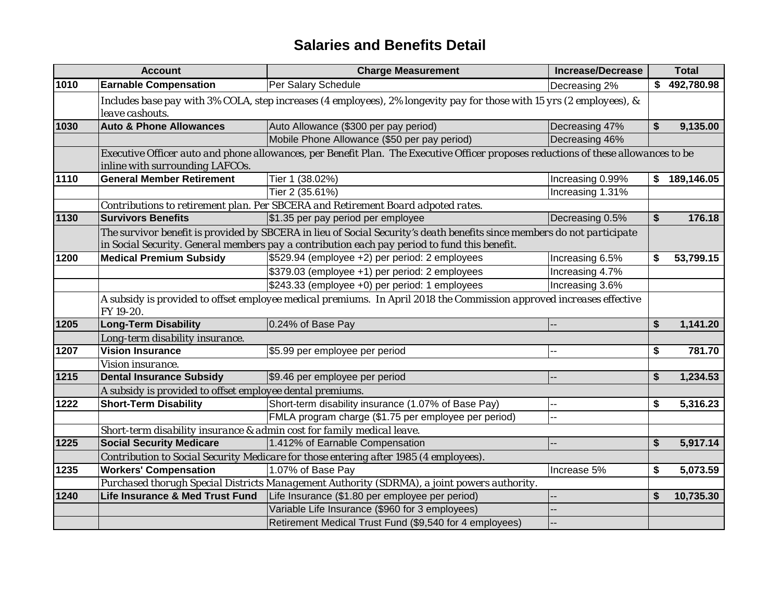## **Salaries and Benefits Detail**

|      | <b>Account</b>                                                         | <b>Charge Measurement</b>                                                                                                                                                                                               | <b>Increase/Decrease</b> |    | <b>Total</b> |
|------|------------------------------------------------------------------------|-------------------------------------------------------------------------------------------------------------------------------------------------------------------------------------------------------------------------|--------------------------|----|--------------|
| 1010 | <b>Earnable Compensation</b>                                           | Per Salary Schedule                                                                                                                                                                                                     | Decreasing 2%            |    | \$492,780.98 |
|      | leave cashouts.                                                        | Includes base pay with 3% COLA, step increases (4 employees), 2% longevity pay for those with 15 yrs (2 employees), &                                                                                                   |                          |    |              |
| 1030 | <b>Auto &amp; Phone Allowances</b>                                     | Auto Allowance (\$300 per pay period)                                                                                                                                                                                   | Decreasing 47%           | \$ | 9,135.00     |
|      |                                                                        | Mobile Phone Allowance (\$50 per pay period)                                                                                                                                                                            | Decreasing 46%           |    |              |
|      | inline with surrounding LAFCOs.                                        | Executive Officer auto and phone allowances, per Benefit Plan. The Executive Officer proposes reductions of these allowances to be                                                                                      |                          |    |              |
| 1110 | <b>General Member Retirement</b>                                       | Tier 1 (38.02%)                                                                                                                                                                                                         | Increasing 0.99%         | \$ | 189,146.05   |
|      |                                                                        | Tier 2 (35.61%)                                                                                                                                                                                                         | Increasing 1.31%         |    |              |
|      |                                                                        | Contributions to retirement plan. Per SBCERA and Retirement Board adpoted rates.                                                                                                                                        |                          |    |              |
| 1130 | <b>Survivors Benefits</b>                                              | \$1.35 per pay period per employee                                                                                                                                                                                      | Decreasing 0.5%          | \$ | 176.18       |
|      |                                                                        | The survivor benefit is provided by SBCERA in lieu of Social Security's death benefits since members do not participate<br>in Social Security. General members pay a contribution each pay period to fund this benefit. |                          |    |              |
| 1200 | <b>Medical Premium Subsidy</b>                                         | \$529.94 (employee +2) per period: 2 employees                                                                                                                                                                          | Increasing 6.5%          | \$ | 53,799.15    |
|      |                                                                        | \$379.03 (employee +1) per period: 2 employees                                                                                                                                                                          | Increasing 4.7%          |    |              |
|      |                                                                        | \$243.33 (employee +0) per period: 1 employees                                                                                                                                                                          | Increasing 3.6%          |    |              |
|      | FY 19-20.                                                              | A subsidy is provided to offset employee medical premiums. In April 2018 the Commission approved increases effective                                                                                                    |                          |    |              |
| 1205 | <b>Long-Term Disability</b>                                            | 0.24% of Base Pay                                                                                                                                                                                                       |                          | \$ | 1,141.20     |
|      | Long-term disability insurance.                                        |                                                                                                                                                                                                                         |                          |    |              |
| 1207 | <b>Vision Insurance</b>                                                | \$5.99 per employee per period                                                                                                                                                                                          | --                       | \$ | 781.70       |
|      | Vision insurance.                                                      |                                                                                                                                                                                                                         |                          |    |              |
| 1215 | <b>Dental Insurance Subsidy</b>                                        | \$9.46 per employee per period                                                                                                                                                                                          |                          | \$ | 1,234.53     |
|      | A subsidy is provided to offset employee dental premiums.              |                                                                                                                                                                                                                         |                          |    |              |
| 1222 | <b>Short-Term Disability</b>                                           | Short-term disability insurance (1.07% of Base Pay)                                                                                                                                                                     |                          | \$ | 5,316.23     |
|      |                                                                        | FMLA program charge (\$1.75 per employee per period)                                                                                                                                                                    |                          |    |              |
|      | Short-term disability insurance & admin cost for family medical leave. |                                                                                                                                                                                                                         |                          |    |              |
| 1225 | <b>Social Security Medicare</b>                                        | 1.412% of Earnable Compensation                                                                                                                                                                                         |                          | \$ | 5,917.14     |
|      |                                                                        | Contribution to Social Security Medicare for those entering after 1985 (4 employees).                                                                                                                                   |                          |    |              |
| 1235 | <b>Workers' Compensation</b>                                           | 1.07% of Base Pay                                                                                                                                                                                                       | Increase 5%              | S  | 5,073.59     |
|      |                                                                        | Purchased thorugh Special Districts Management Authority (SDRMA), a joint powers authority.                                                                                                                             |                          |    |              |
| 1240 | Life Insurance & Med Trust Fund                                        | Life Insurance (\$1.80 per employee per period)                                                                                                                                                                         |                          | \$ | 10,735.30    |
|      |                                                                        | Variable Life Insurance (\$960 for 3 employees)                                                                                                                                                                         |                          |    |              |
|      |                                                                        | Retirement Medical Trust Fund (\$9,540 for 4 employees)                                                                                                                                                                 |                          |    |              |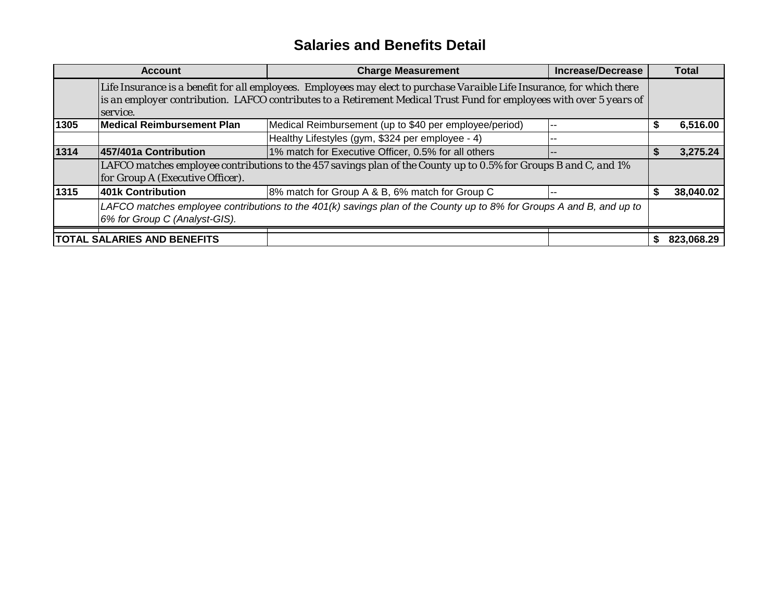## **Salaries and Benefits Detail**

|      | <b>Account</b>                                                                                                                                        | <b>Charge Measurement</b>                                                                                                                                                                                                                       | <b>Increase/Decrease</b> |   | <b>Total</b> |  |  |
|------|-------------------------------------------------------------------------------------------------------------------------------------------------------|-------------------------------------------------------------------------------------------------------------------------------------------------------------------------------------------------------------------------------------------------|--------------------------|---|--------------|--|--|
|      | service.                                                                                                                                              | Life Insurance is a benefit for all employees. Employees may elect to purchase Varaible Life Insurance, for which there<br>is an employer contribution. LAFCO contributes to a Retirement Medical Trust Fund for employees with over 5 years of |                          |   |              |  |  |
| 1305 | Medical Reimbursement Plan                                                                                                                            | Medical Reimbursement (up to \$40 per employee/period)                                                                                                                                                                                          | --                       | S | 6,516.00     |  |  |
|      |                                                                                                                                                       | Healthy Lifestyles (gym, \$324 per employee - 4)                                                                                                                                                                                                | --                       |   |              |  |  |
| 1314 | 457/401a Contribution                                                                                                                                 | 1% match for Executive Officer, 0.5% for all others                                                                                                                                                                                             |                          |   | 3,275.24     |  |  |
|      | for Group A (Executive Officer).                                                                                                                      | LAFCO matches employee contributions to the 457 savings plan of the County up to 0.5% for Groups B and C, and 1%                                                                                                                                |                          |   |              |  |  |
| 1315 | 401k Contribution                                                                                                                                     | 8% match for Group A & B, 6% match for Group C                                                                                                                                                                                                  | --                       |   | 38,040.02    |  |  |
|      | LAFCO matches employee contributions to the 401(k) savings plan of the County up to 8% for Groups A and B, and up to<br>6% for Group C (Analyst-GIS). |                                                                                                                                                                                                                                                 |                          |   |              |  |  |
|      | <b>TOTAL SALARIES AND BENEFITS</b>                                                                                                                    |                                                                                                                                                                                                                                                 |                          |   | 823.068.29   |  |  |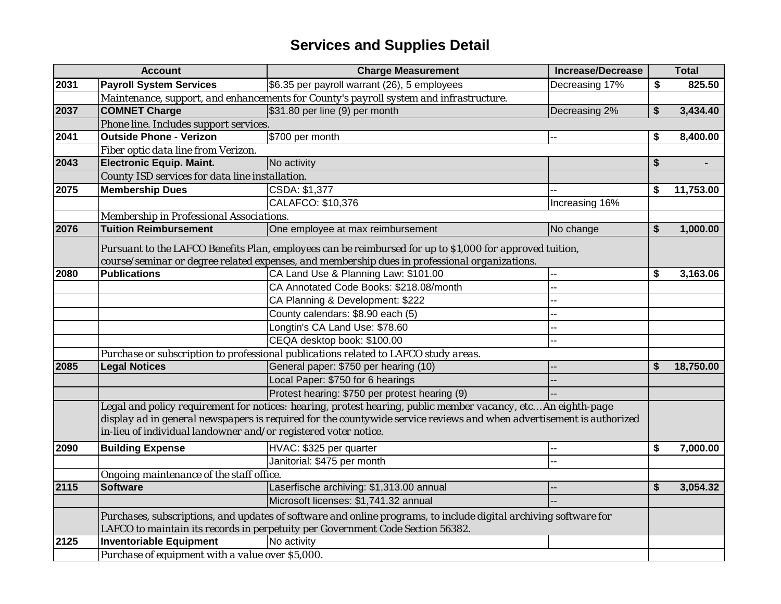|      | <b>Account</b>                                                  | <b>Increase/Decrease</b><br><b>Charge Measurement</b>                                                                                                                                                                                 | Total           |  |
|------|-----------------------------------------------------------------|---------------------------------------------------------------------------------------------------------------------------------------------------------------------------------------------------------------------------------------|-----------------|--|
| 2031 | <b>Payroll System Services</b>                                  | \$6.35 per payroll warrant (26), 5 employees<br>Decreasing 17%                                                                                                                                                                        | \$<br>825.50    |  |
|      |                                                                 | Maintenance, support, and enhancements for County's payroll system and infrastructure.                                                                                                                                                |                 |  |
| 2037 | <b>COMNET Charge</b>                                            | \$31.80 per line (9) per month<br>Decreasing 2%                                                                                                                                                                                       | \$<br>3,434.40  |  |
|      | Phone line. Includes support services.                          |                                                                                                                                                                                                                                       |                 |  |
| 2041 | <b>Outside Phone - Verizon</b>                                  | \$700 per month                                                                                                                                                                                                                       | \$<br>8,400.00  |  |
|      | Fiber optic data line from Verizon.                             |                                                                                                                                                                                                                                       |                 |  |
| 2043 | <b>Electronic Equip. Maint.</b>                                 | No activity                                                                                                                                                                                                                           | \$              |  |
|      | County ISD services for data line installation.                 |                                                                                                                                                                                                                                       |                 |  |
| 2075 | <b>Membership Dues</b>                                          | CSDA: \$1,377                                                                                                                                                                                                                         | \$<br>11,753.00 |  |
|      |                                                                 | CALAFCO: \$10,376<br>Increasing 16%                                                                                                                                                                                                   |                 |  |
|      | Membership in Professional Associations.                        |                                                                                                                                                                                                                                       |                 |  |
| 2076 | <b>Tuition Reimbursement</b>                                    | One employee at max reimbursement<br>No change                                                                                                                                                                                        | \$<br>1,000.00  |  |
|      |                                                                 | Pursuant to the LAFCO Benefits Plan, employees can be reimbursed for up to \$1,000 for approved tuition,                                                                                                                              |                 |  |
|      |                                                                 | course/seminar or degree related expenses, and membership dues in professional organizations.                                                                                                                                         |                 |  |
| 2080 | <b>Publications</b>                                             | CA Land Use & Planning Law: \$101.00                                                                                                                                                                                                  | \$<br>3,163.06  |  |
|      |                                                                 | CA Annotated Code Books: \$218.08/month                                                                                                                                                                                               |                 |  |
|      |                                                                 | CA Planning & Development: \$222                                                                                                                                                                                                      |                 |  |
|      |                                                                 | County calendars: \$8.90 each (5)                                                                                                                                                                                                     |                 |  |
|      |                                                                 | Longtin's CA Land Use: \$78.60                                                                                                                                                                                                        |                 |  |
|      |                                                                 | CEQA desktop book: \$100.00                                                                                                                                                                                                           |                 |  |
|      |                                                                 | Purchase or subscription to professional publications related to LAFCO study areas.                                                                                                                                                   |                 |  |
| 2085 | <b>Legal Notices</b>                                            | General paper: \$750 per hearing (10)                                                                                                                                                                                                 | \$<br>18,750.00 |  |
|      |                                                                 | Local Paper: \$750 for 6 hearings                                                                                                                                                                                                     |                 |  |
|      |                                                                 | Protest hearing: \$750 per protest hearing (9)                                                                                                                                                                                        |                 |  |
|      | in-lieu of individual landowner and/or registered voter notice. | Legal and policy requirement for notices: hearing, protest hearing, public member vacancy, etc An eighth-page<br>display ad in general newspapers is required for the countywide service reviews and when advertisement is authorized |                 |  |
| 2090 | <b>Building Expense</b>                                         | HVAC: \$325 per quarter                                                                                                                                                                                                               | \$<br>7,000.00  |  |
|      |                                                                 | Janitorial: \$475 per month                                                                                                                                                                                                           |                 |  |
|      | Ongoing maintenance of the staff office.                        |                                                                                                                                                                                                                                       |                 |  |
| 2115 | <b>Software</b>                                                 | Laserfische archiving: \$1,313.00 annual                                                                                                                                                                                              | \$<br>3,054.32  |  |
|      |                                                                 | Microsoft licenses: \$1,741.32 annual                                                                                                                                                                                                 |                 |  |
|      |                                                                 | Purchases, subscriptions, and updates of software and online programs, to include digital archiving software for<br>LAFCO to maintain its records in perpetuity per Government Code Section 56382.                                    |                 |  |
| 2125 | <b>Inventoriable Equipment</b>                                  | No activity                                                                                                                                                                                                                           |                 |  |
|      | Purchase of equipment with a value over \$5,000.                |                                                                                                                                                                                                                                       |                 |  |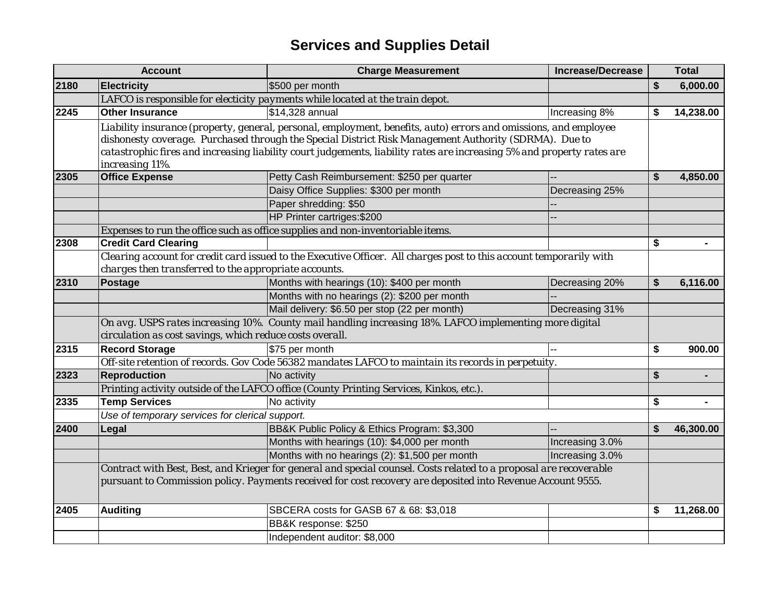|      | <b>Account</b>                                                                                              | <b>Charge Measurement</b>                                                                                              | <b>Increase/Decrease</b> |    | <b>Total</b> |  |  |  |
|------|-------------------------------------------------------------------------------------------------------------|------------------------------------------------------------------------------------------------------------------------|--------------------------|----|--------------|--|--|--|
| 2180 | <b>Electricity</b>                                                                                          | \$500 per month                                                                                                        |                          | \$ | 6,000.00     |  |  |  |
|      |                                                                                                             | LAFCO is responsible for electicity payments while located at the train depot.                                         |                          |    |              |  |  |  |
| 2245 | <b>Other Insurance</b>                                                                                      | \$14,328 annual                                                                                                        | Increasing 8%            | \$ | 14,238.00    |  |  |  |
|      |                                                                                                             | Liability insurance (property, general, personal, employment, benefits, auto) errors and omissions, and employee       |                          |    |              |  |  |  |
|      |                                                                                                             | dishonesty coverage. Purchased through the Special District Risk Management Authority (SDRMA). Due to                  |                          |    |              |  |  |  |
|      |                                                                                                             | catastrophic fires and increasing liability court judgements, liability rates are increasing 5% and property rates are |                          |    |              |  |  |  |
|      | increasing 11%.                                                                                             |                                                                                                                        |                          |    |              |  |  |  |
| 2305 | <b>Office Expense</b>                                                                                       | Petty Cash Reimbursement: \$250 per quarter                                                                            |                          | \$ | 4,850.00     |  |  |  |
|      |                                                                                                             | Daisy Office Supplies: \$300 per month                                                                                 | Decreasing 25%           |    |              |  |  |  |
|      |                                                                                                             | Paper shredding: \$50                                                                                                  |                          |    |              |  |  |  |
|      |                                                                                                             | HP Printer cartriges: \$200                                                                                            |                          |    |              |  |  |  |
|      | Expenses to run the office such as office supplies and non-inventoriable items.                             |                                                                                                                        |                          |    |              |  |  |  |
| 2308 | <b>Credit Card Clearing</b>                                                                                 |                                                                                                                        |                          | \$ |              |  |  |  |
|      |                                                                                                             | Clearing account for credit card issued to the Executive Officer. All charges post to this account temporarily with    |                          |    |              |  |  |  |
|      | charges then transferred to the appropriate accounts.                                                       |                                                                                                                        |                          |    |              |  |  |  |
| 2310 | Postage                                                                                                     | Months with hearings (10): \$400 per month                                                                             | Decreasing 20%           | \$ | 6,116.00     |  |  |  |
|      |                                                                                                             | Months with no hearings (2): \$200 per month                                                                           |                          |    |              |  |  |  |
|      |                                                                                                             | Mail delivery: \$6.50 per stop (22 per month)                                                                          | Decreasing 31%           |    |              |  |  |  |
|      |                                                                                                             | On avg. USPS rates increasing 10%. County mail handling increasing 18%. LAFCO implementing more digital                |                          |    |              |  |  |  |
|      | circulation as cost savings, which reduce costs overall.                                                    |                                                                                                                        |                          |    |              |  |  |  |
| 2315 | <b>Record Storage</b>                                                                                       | \$75 per month                                                                                                         |                          | \$ | 900.00       |  |  |  |
|      |                                                                                                             | Off-site retention of records. Gov Code 56382 mandates LAFCO to maintain its records in perpetuity.                    |                          |    |              |  |  |  |
| 2323 | <b>Reproduction</b>                                                                                         | No activity                                                                                                            |                          | \$ |              |  |  |  |
|      |                                                                                                             | Printing activity outside of the LAFCO office (County Printing Services, Kinkos, etc.).                                |                          |    |              |  |  |  |
| 2335 | <b>Temp Services</b>                                                                                        | No activity                                                                                                            |                          | \$ |              |  |  |  |
|      | Use of temporary services for clerical support.                                                             |                                                                                                                        |                          |    |              |  |  |  |
| 2400 | Legal                                                                                                       | BB&K Public Policy & Ethics Program: \$3,300                                                                           |                          | \$ | 46,300.00    |  |  |  |
|      |                                                                                                             | Months with hearings (10): \$4,000 per month                                                                           | Increasing 3.0%          |    |              |  |  |  |
|      |                                                                                                             | Months with no hearings (2): \$1,500 per month                                                                         | Increasing 3.0%          |    |              |  |  |  |
|      |                                                                                                             | Contract with Best, Best, and Krieger for general and special counsel. Costs related to a proposal are recoverable     |                          |    |              |  |  |  |
|      | pursuant to Commission policy. Payments received for cost recovery are deposited into Revenue Account 9555. |                                                                                                                        |                          |    |              |  |  |  |
| 2405 | <b>Auditing</b>                                                                                             | SBCERA costs for GASB 67 & 68: \$3,018                                                                                 |                          | \$ | 11,268.00    |  |  |  |
|      |                                                                                                             | BB&K response: \$250                                                                                                   |                          |    |              |  |  |  |
|      |                                                                                                             | Independent auditor: \$8,000                                                                                           |                          |    |              |  |  |  |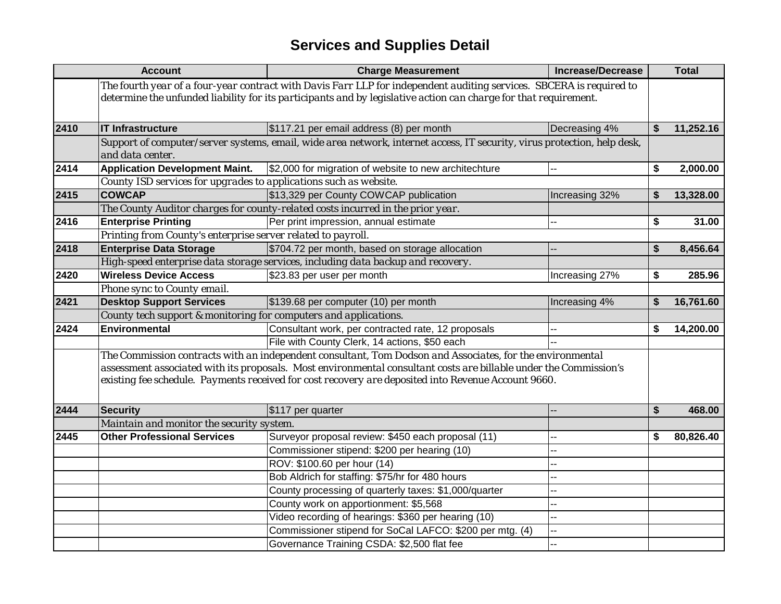|      | <b>Account</b>                                                    | <b>Charge Measurement</b>                                                                                                                                                                                                                | <b>Increase/Decrease</b> | <b>Total</b>    |
|------|-------------------------------------------------------------------|------------------------------------------------------------------------------------------------------------------------------------------------------------------------------------------------------------------------------------------|--------------------------|-----------------|
|      |                                                                   | The fourth year of a four-year contract with Davis Farr LLP for independent auditing services. SBCERA is required to<br>determine the unfunded liability for its participants and by legislative action can charge for that requirement. |                          |                 |
| 2410 | <b>IT Infrastructure</b>                                          | \$117.21 per email address (8) per month                                                                                                                                                                                                 | Decreasing 4%            | \$<br>11,252.16 |
|      | and data center.                                                  | Support of computer/server systems, email, wide area network, internet access, IT security, virus protection, help desk,                                                                                                                 |                          |                 |
| 2414 | <b>Application Development Maint.</b>                             | \$2,000 for migration of website to new architechture                                                                                                                                                                                    | -−                       | \$<br>2,000.00  |
|      | County ISD services for upgrades to applications such as website. |                                                                                                                                                                                                                                          |                          |                 |
| 2415 | <b>COWCAP</b>                                                     | \$13,329 per County COWCAP publication                                                                                                                                                                                                   | Increasing 32%           | \$<br>13,328.00 |
|      |                                                                   | The County Auditor charges for county-related costs incurred in the prior year.                                                                                                                                                          |                          |                 |
| 2416 | <b>Enterprise Printing</b>                                        | Per print impression, annual estimate                                                                                                                                                                                                    |                          | \$<br>31.00     |
|      | Printing from County's enterprise server related to payroll.      |                                                                                                                                                                                                                                          |                          |                 |
| 2418 | <b>Enterprise Data Storage</b>                                    | \$704.72 per month, based on storage allocation                                                                                                                                                                                          |                          | \$<br>8,456.64  |
|      |                                                                   | High-speed enterprise data storage services, including data backup and recovery.                                                                                                                                                         |                          |                 |
| 2420 | <b>Wireless Device Access</b>                                     | \$23.83 per user per month                                                                                                                                                                                                               | Increasing 27%           | \$<br>285.96    |
|      | Phone sync to County email.                                       |                                                                                                                                                                                                                                          |                          |                 |
| 2421 | <b>Desktop Support Services</b>                                   | \$139.68 per computer (10) per month                                                                                                                                                                                                     | Increasing 4%            | \$<br>16,761.60 |
|      | County tech support & monitoring for computers and applications.  |                                                                                                                                                                                                                                          |                          |                 |
| 2424 | Environmental                                                     | Consultant work, per contracted rate, 12 proposals                                                                                                                                                                                       |                          | \$<br>14,200.00 |
|      |                                                                   | File with County Clerk, 14 actions, \$50 each                                                                                                                                                                                            |                          |                 |
|      |                                                                   | The Commission contracts with an independent consultant, Tom Dodson and Associates, for the environmental                                                                                                                                |                          |                 |
|      |                                                                   | assessment associated with its proposals. Most environmental consultant costs are billable under the Commission's                                                                                                                        |                          |                 |
|      |                                                                   | existing fee schedule. Payments received for cost recovery are deposited into Revenue Account 9660.                                                                                                                                      |                          |                 |
| 2444 | <b>Security</b>                                                   | \$117 per quarter                                                                                                                                                                                                                        |                          | \$<br>468.00    |
|      | Maintain and monitor the security system.                         |                                                                                                                                                                                                                                          |                          |                 |
| 2445 | <b>Other Professional Services</b>                                | Surveyor proposal review: \$450 each proposal (11)                                                                                                                                                                                       |                          | \$<br>80,826.40 |
|      |                                                                   | Commissioner stipend: \$200 per hearing (10)                                                                                                                                                                                             | --                       |                 |
|      |                                                                   | ROV: \$100.60 per hour (14)                                                                                                                                                                                                              | --                       |                 |
|      |                                                                   | Bob Aldrich for staffing: \$75/hr for 480 hours                                                                                                                                                                                          | --                       |                 |
|      |                                                                   | County processing of quarterly taxes: \$1,000/quarter                                                                                                                                                                                    | -−                       |                 |
|      |                                                                   | County work on apportionment: \$5,568                                                                                                                                                                                                    |                          |                 |
|      |                                                                   | Video recording of hearings: \$360 per hearing (10)                                                                                                                                                                                      | -−                       |                 |
|      |                                                                   | Commissioner stipend for SoCal LAFCO: \$200 per mtg. (4)                                                                                                                                                                                 | --                       |                 |
|      |                                                                   | Governance Training CSDA: \$2,500 flat fee                                                                                                                                                                                               |                          |                 |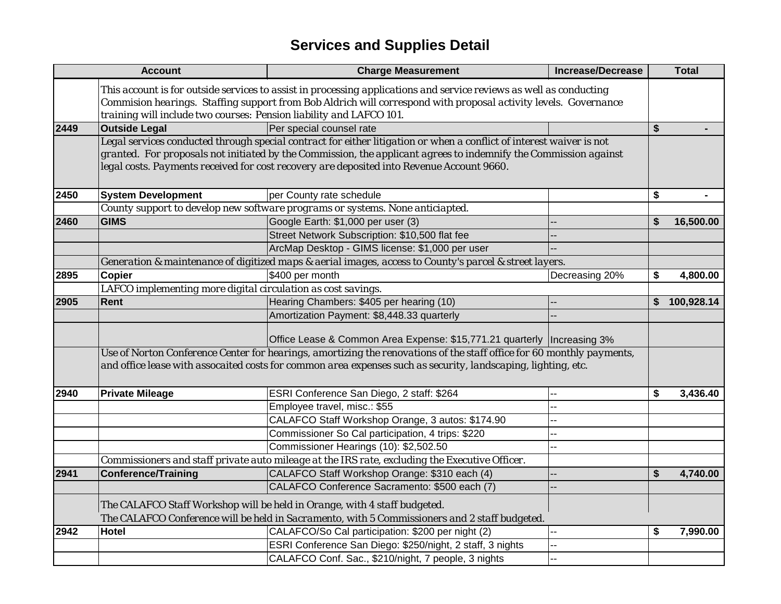|      | <b>Account</b>                                                      | <b>Charge Measurement</b>                                                                                                                                                                                                                                                                                                             | <b>Increase/Decrease</b> | <b>Total</b>     |
|------|---------------------------------------------------------------------|---------------------------------------------------------------------------------------------------------------------------------------------------------------------------------------------------------------------------------------------------------------------------------------------------------------------------------------|--------------------------|------------------|
|      | training will include two courses: Pension liability and LAFCO 101. | This account is for outside services to assist in processing applications and service reviews as well as conducting<br>Commision hearings. Staffing support from Bob Aldrich will correspond with proposal activity levels. Governance                                                                                                |                          |                  |
| 2449 | <b>Outside Legal</b>                                                | Per special counsel rate                                                                                                                                                                                                                                                                                                              |                          | \$               |
|      |                                                                     | Legal services conducted through special contract for either litigation or when a conflict of interest waiver is not<br>granted. For proposals not initiated by the Commission, the applicant agrees to indemnify the Commission against<br>legal costs. Payments received for cost recovery are deposited into Revenue Account 9660. |                          |                  |
| 2450 | <b>System Development</b>                                           | per County rate schedule                                                                                                                                                                                                                                                                                                              |                          | \$               |
|      |                                                                     | County support to develop new software programs or systems. None anticiapted.                                                                                                                                                                                                                                                         |                          |                  |
| 2460 | <b>GIMS</b>                                                         | Google Earth: \$1,000 per user (3)                                                                                                                                                                                                                                                                                                    |                          | \$<br>16,500.00  |
|      |                                                                     | Street Network Subscription: \$10,500 flat fee                                                                                                                                                                                                                                                                                        |                          |                  |
|      |                                                                     | ArcMap Desktop - GIMS license: \$1,000 per user                                                                                                                                                                                                                                                                                       |                          |                  |
|      |                                                                     | Generation & maintenance of digitized maps & aerial images, access to County's parcel & street layers.                                                                                                                                                                                                                                |                          |                  |
| 2895 | <b>Copier</b>                                                       | \$400 per month                                                                                                                                                                                                                                                                                                                       | Decreasing 20%           | \$<br>4,800.00   |
|      | LAFCO implementing more digital circulation as cost savings.        |                                                                                                                                                                                                                                                                                                                                       |                          |                  |
| 2905 | Rent                                                                | Hearing Chambers: \$405 per hearing (10)                                                                                                                                                                                                                                                                                              |                          | \$<br>100,928.14 |
|      |                                                                     | Amortization Payment: \$8,448.33 quarterly                                                                                                                                                                                                                                                                                            |                          |                  |
|      |                                                                     | Office Lease & Common Area Expense: \$15,771.21 quarterly  Increasing 3%                                                                                                                                                                                                                                                              |                          |                  |
|      |                                                                     | Use of Norton Conference Center for hearings, amortizing the renovations of the staff office for 60 monthly payments,                                                                                                                                                                                                                 |                          |                  |
|      |                                                                     | and office lease with assocaited costs for common area expenses such as security, landscaping, lighting, etc.                                                                                                                                                                                                                         |                          |                  |
| 2940 | <b>Private Mileage</b>                                              | ESRI Conference San Diego, 2 staff: \$264                                                                                                                                                                                                                                                                                             |                          | \$<br>3,436.40   |
|      |                                                                     | Employee travel, misc.: \$55                                                                                                                                                                                                                                                                                                          |                          |                  |
|      |                                                                     | CALAFCO Staff Workshop Orange, 3 autos: \$174.90                                                                                                                                                                                                                                                                                      |                          |                  |
|      |                                                                     | Commissioner So Cal participation, 4 trips: \$220                                                                                                                                                                                                                                                                                     |                          |                  |
|      |                                                                     | Commissioner Hearings (10): \$2,502.50                                                                                                                                                                                                                                                                                                |                          |                  |
|      |                                                                     | Commissioners and staff private auto mileage at the IRS rate, excluding the Executive Officer.                                                                                                                                                                                                                                        |                          |                  |
| 2941 | <b>Conference/Training</b>                                          | CALAFCO Staff Workshop Orange: \$310 each (4)                                                                                                                                                                                                                                                                                         |                          | \$<br>4,740.00   |
|      |                                                                     | CALAFCO Conference Sacramento: \$500 each (7)                                                                                                                                                                                                                                                                                         |                          |                  |
|      |                                                                     | The CALAFCO Staff Workshop will be held in Orange, with 4 staff budgeted.                                                                                                                                                                                                                                                             |                          |                  |
|      |                                                                     | The CALAFCO Conference will be held in Sacramento, with 5 Commissioners and 2 staff budgeted.                                                                                                                                                                                                                                         |                          |                  |
| 2942 | <b>Hotel</b>                                                        | CALAFCO/So Cal participation: \$200 per night (2)                                                                                                                                                                                                                                                                                     |                          | \$<br>7,990.00   |
|      |                                                                     | ESRI Conference San Diego: \$250/night, 2 staff, 3 nights                                                                                                                                                                                                                                                                             |                          |                  |
|      |                                                                     | CALAFCO Conf. Sac., \$210/night, 7 people, 3 nights                                                                                                                                                                                                                                                                                   |                          |                  |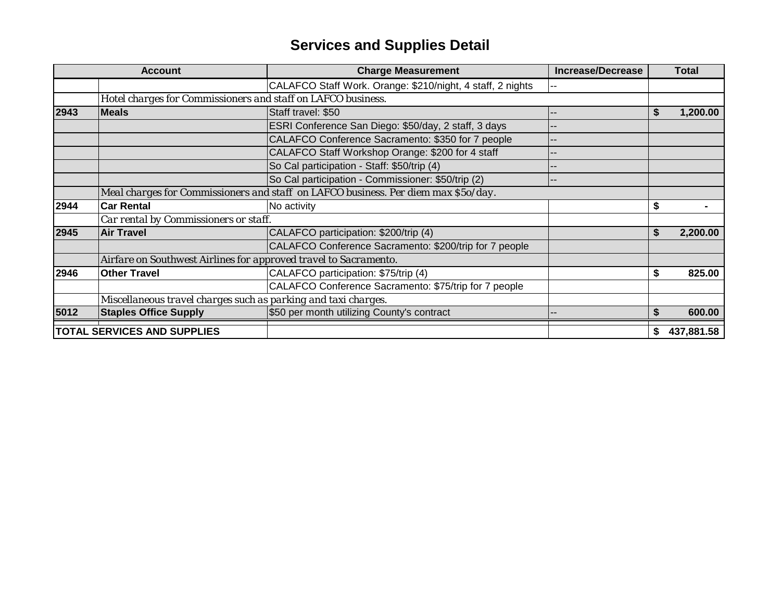|      | <b>Account</b>                                                   | <b>Charge Measurement</b>                                                          | <b>Increase/Decrease</b> |    | <b>Total</b> |
|------|------------------------------------------------------------------|------------------------------------------------------------------------------------|--------------------------|----|--------------|
|      |                                                                  | CALAFCO Staff Work. Orange: \$210/night, 4 staff, 2 nights                         | --                       |    |              |
|      | Hotel charges for Commissioners and staff on LAFCO business.     |                                                                                    |                          |    |              |
| 2943 | <b>Meals</b>                                                     | Staff travel: \$50                                                                 |                          |    | 1,200.00     |
|      |                                                                  | ESRI Conference San Diego: \$50/day, 2 staff, 3 days                               |                          |    |              |
|      |                                                                  | CALAFCO Conference Sacramento: \$350 for 7 people                                  |                          |    |              |
|      |                                                                  | CALAFCO Staff Workshop Orange: \$200 for 4 staff                                   |                          |    |              |
|      |                                                                  | So Cal participation - Staff: \$50/trip (4)                                        |                          |    |              |
|      |                                                                  | So Cal participation - Commissioner: \$50/trip (2)                                 |                          |    |              |
|      |                                                                  | Meal charges for Commissioners and staff on LAFCO business. Per diem max \$5o/day. |                          |    |              |
| 2944 | <b>Car Rental</b>                                                | No activity                                                                        |                          | \$ |              |
|      | Car rental by Commissioners or staff.                            |                                                                                    |                          |    |              |
| 2945 | <b>Air Travel</b>                                                | CALAFCO participation: \$200/trip (4)                                              |                          | S  | 2,200.00     |
|      |                                                                  | CALAFCO Conference Sacramento: \$200/trip for 7 people                             |                          |    |              |
|      | Airfare on Southwest Airlines for approved travel to Sacramento. |                                                                                    |                          |    |              |
| 2946 | <b>Other Travel</b>                                              | CALAFCO participation: \$75/trip (4)                                               |                          | \$ | 825.00       |
|      |                                                                  | CALAFCO Conference Sacramento: \$75/trip for 7 people                              |                          |    |              |
|      | Miscellaneous travel charges such as parking and taxi charges.   |                                                                                    |                          |    |              |
| 5012 | <b>Staples Office Supply</b>                                     | \$50 per month utilizing County's contract                                         |                          |    | 600.00       |
|      | <b>TOTAL SERVICES AND SUPPLIES</b>                               |                                                                                    |                          |    | 437,881.58   |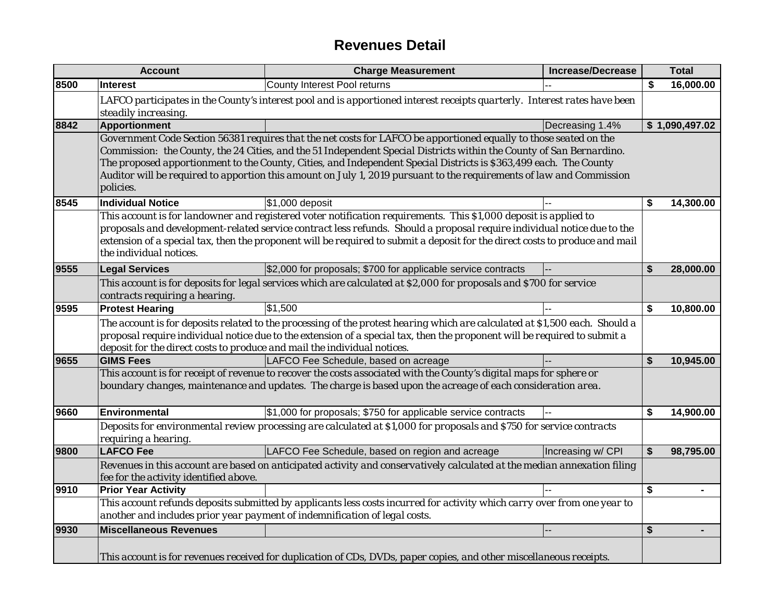## **Revenues Detail**

|      | <b>Account</b>                                                                                                                                                                                                                                                                                                                                                                                         | <b>Charge Measurement</b>                                                                                                                                                                                                                                                                                                                                                                                                                                                              | <b>Increase/Decrease</b> |    | <b>Total</b>   |  |  |
|------|--------------------------------------------------------------------------------------------------------------------------------------------------------------------------------------------------------------------------------------------------------------------------------------------------------------------------------------------------------------------------------------------------------|----------------------------------------------------------------------------------------------------------------------------------------------------------------------------------------------------------------------------------------------------------------------------------------------------------------------------------------------------------------------------------------------------------------------------------------------------------------------------------------|--------------------------|----|----------------|--|--|
| 8500 | <b>Interest</b>                                                                                                                                                                                                                                                                                                                                                                                        | County Interest Pool returns                                                                                                                                                                                                                                                                                                                                                                                                                                                           |                          | \$ | 16,000.00      |  |  |
|      | steadily increasing.                                                                                                                                                                                                                                                                                                                                                                                   | LAFCO participates in the County's interest pool and is apportioned interest receipts quarterly. Interest rates have been                                                                                                                                                                                                                                                                                                                                                              |                          |    |                |  |  |
| 8842 | <b>Apportionment</b>                                                                                                                                                                                                                                                                                                                                                                                   |                                                                                                                                                                                                                                                                                                                                                                                                                                                                                        | Decreasing 1.4%          |    | \$1,090,497.02 |  |  |
|      | policies.                                                                                                                                                                                                                                                                                                                                                                                              | Government Code Section 56381 requires that the net costs for LAFCO be apportioned equally to those seated on the<br>Commission: the County, the 24 Cities, and the 51 Independent Special Districts within the County of San Bernardino.<br>The proposed apportionment to the County, Cities, and Independent Special Districts is \$363,499 each. The County<br>Auditor will be required to apportion this amount on July 1, 2019 pursuant to the requirements of law and Commission |                          |    |                |  |  |
| 8545 | <b>Individual Notice</b>                                                                                                                                                                                                                                                                                                                                                                               | \$1,000 deposit                                                                                                                                                                                                                                                                                                                                                                                                                                                                        |                          | \$ | 14,300.00      |  |  |
|      | This account is for landowner and registered voter notification requirements. This \$1,000 deposit is applied to<br>proposals and development-related service contract less refunds. Should a proposal require individual notice due to the<br>extension of a special tax, then the proponent will be required to submit a deposit for the direct costs to produce and mail<br>the individual notices. |                                                                                                                                                                                                                                                                                                                                                                                                                                                                                        |                          |    |                |  |  |
| 9555 | <b>Legal Services</b>                                                                                                                                                                                                                                                                                                                                                                                  | \$2,000 for proposals; \$700 for applicable service contracts                                                                                                                                                                                                                                                                                                                                                                                                                          |                          | \$ | 28,000.00      |  |  |
|      | This account is for deposits for legal services which are calculated at \$2,000 for proposals and \$700 for service<br>contracts requiring a hearing.                                                                                                                                                                                                                                                  |                                                                                                                                                                                                                                                                                                                                                                                                                                                                                        |                          |    |                |  |  |
| 9595 | <b>Protest Hearing</b>                                                                                                                                                                                                                                                                                                                                                                                 | \$1,500                                                                                                                                                                                                                                                                                                                                                                                                                                                                                |                          | \$ | 10,800.00      |  |  |
|      | The account is for deposits related to the processing of the protest hearing which are calculated at \$1,500 each. Should a<br>proposal require individual notice due to the extension of a special tax, then the proponent will be required to submit a<br>deposit for the direct costs to produce and mail the individual notices.                                                                   |                                                                                                                                                                                                                                                                                                                                                                                                                                                                                        |                          |    |                |  |  |
| 9655 | <b>GIMS Fees</b>                                                                                                                                                                                                                                                                                                                                                                                       | LAFCO Fee Schedule, based on acreage                                                                                                                                                                                                                                                                                                                                                                                                                                                   |                          | \$ | 10,945.00      |  |  |
|      |                                                                                                                                                                                                                                                                                                                                                                                                        | This account is for receipt of revenue to recover the costs associated with the County's digital maps for sphere or<br>boundary changes, maintenance and updates. The charge is based upon the acreage of each consideration area.                                                                                                                                                                                                                                                     |                          |    |                |  |  |
| 9660 | <b>Environmental</b>                                                                                                                                                                                                                                                                                                                                                                                   | \$1,000 for proposals; \$750 for applicable service contracts                                                                                                                                                                                                                                                                                                                                                                                                                          |                          | \$ | 14,900.00      |  |  |
|      | requiring a hearing.                                                                                                                                                                                                                                                                                                                                                                                   | Deposits for environmental review processing are calculated at \$1,000 for proposals and \$750 for service contracts                                                                                                                                                                                                                                                                                                                                                                   |                          |    |                |  |  |
| 9800 | <b>LAFCO Fee</b>                                                                                                                                                                                                                                                                                                                                                                                       | LAFCO Fee Schedule, based on region and acreage                                                                                                                                                                                                                                                                                                                                                                                                                                        | Increasing w/ CPI        | \$ | 98,795.00      |  |  |
|      | fee for the activity identified above.                                                                                                                                                                                                                                                                                                                                                                 | Revenues in this account are based on anticipated activity and conservatively calculated at the median annexation filing                                                                                                                                                                                                                                                                                                                                                               |                          |    |                |  |  |
| 9910 | <b>Prior Year Activity</b>                                                                                                                                                                                                                                                                                                                                                                             |                                                                                                                                                                                                                                                                                                                                                                                                                                                                                        |                          | \$ |                |  |  |
|      | This account refunds deposits submitted by applicants less costs incurred for activity which carry over from one year to<br>another and includes prior year payment of indemnification of legal costs.                                                                                                                                                                                                 |                                                                                                                                                                                                                                                                                                                                                                                                                                                                                        |                          |    |                |  |  |
| 9930 | <b>Miscellaneous Revenues</b>                                                                                                                                                                                                                                                                                                                                                                          |                                                                                                                                                                                                                                                                                                                                                                                                                                                                                        |                          | \$ |                |  |  |
|      |                                                                                                                                                                                                                                                                                                                                                                                                        | This account is for revenues received for duplication of CDs, DVDs, paper copies, and other miscellaneous receipts.                                                                                                                                                                                                                                                                                                                                                                    |                          |    |                |  |  |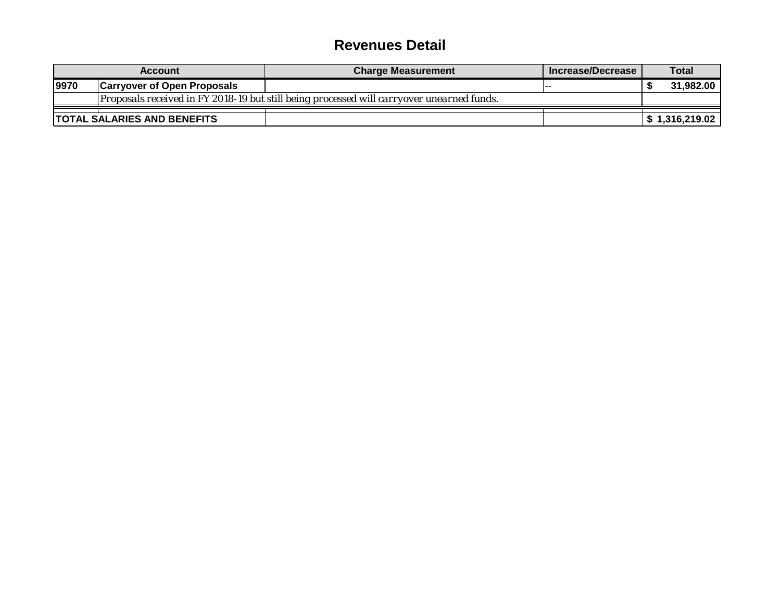### **Revenues Detail**

| <b>Account</b>                                                                            |                                    | <b>Charge Measurement</b> | Mincrease/Decrease | <b>Total</b> |                |  |
|-------------------------------------------------------------------------------------------|------------------------------------|---------------------------|--------------------|--------------|----------------|--|
| 9970                                                                                      | <b>Carryover of Open Proposals</b> |                           | .                  |              | 31.982.00      |  |
| Proposals received in FY 2018-19 but still being processed will carryover unearned funds. |                                    |                           |                    |              |                |  |
|                                                                                           | <b>TOTAL SALARIES AND BENEFITS</b> |                           |                    |              | \$1,316,219.02 |  |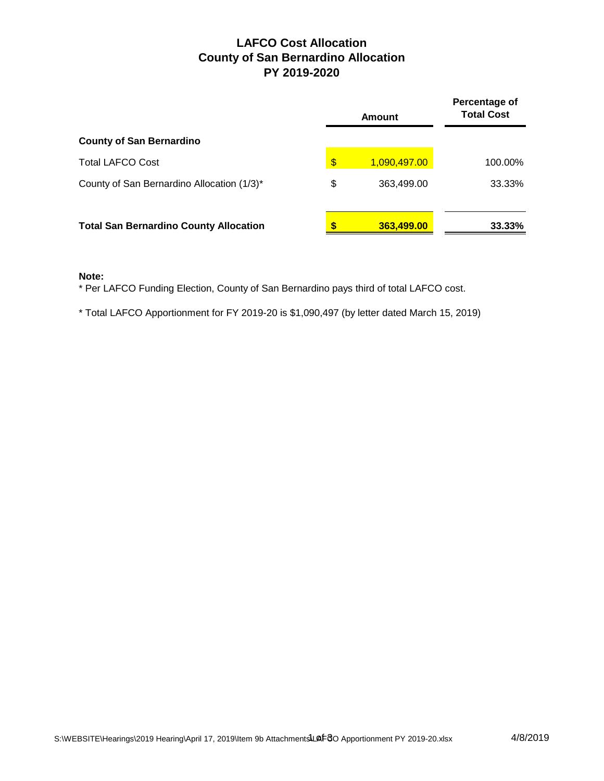### **LAFCO Cost Allocation County of San Bernardino Allocation PY 2019-2020**

|                                               | Amount             | Percentage of<br><b>Total Cost</b> |  |  |
|-----------------------------------------------|--------------------|------------------------------------|--|--|
| <b>County of San Bernardino</b>               |                    |                                    |  |  |
| <b>Total LAFCO Cost</b>                       | \$<br>1,090,497.00 | 100.00%                            |  |  |
| County of San Bernardino Allocation (1/3)*    | \$<br>363,499.00   | 33.33%                             |  |  |
| <b>Total San Bernardino County Allocation</b> | 363,499.00         | 33.33%                             |  |  |

#### **Note:**

\* Per LAFCO Funding Election, County of San Bernardino pays third of total LAFCO cost.

\* Total LAFCO Apportionment for FY 2019-20 is \$1,090,497 (by letter dated March 15, 2019)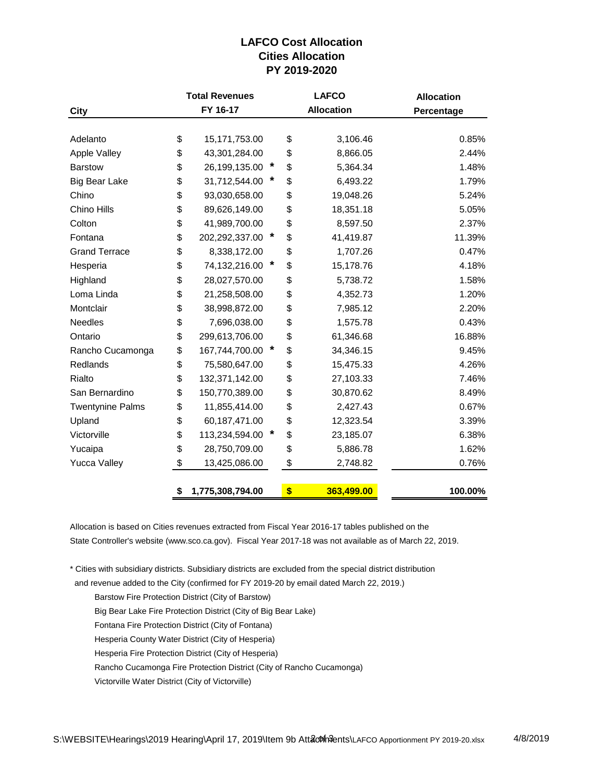### **LAFCO Cost Allocation Cities Allocation PY 2019-2020**

|                         |          | <b>Total Revenues</b> |   | <b>LAFCO</b> |                   | <b>Allocation</b> |  |  |
|-------------------------|----------|-----------------------|---|--------------|-------------------|-------------------|--|--|
| City                    | FY 16-17 |                       |   |              | <b>Allocation</b> | Percentage        |  |  |
|                         |          |                       |   |              |                   |                   |  |  |
| Adelanto                | \$       | 15,171,753.00         |   | \$           | 3,106.46          | 0.85%             |  |  |
| <b>Apple Valley</b>     | \$       | 43,301,284.00         |   | \$           | 8,866.05          | 2.44%             |  |  |
| <b>Barstow</b>          | \$       | 26,199,135.00         | × | \$           | 5,364.34          | 1.48%             |  |  |
| <b>Big Bear Lake</b>    | \$       | 31,712,544.00         |   | \$           | 6,493.22          | 1.79%             |  |  |
| Chino                   | \$       | 93,030,658.00         |   | \$           | 19,048.26         | 5.24%             |  |  |
| Chino Hills             | \$       | 89,626,149.00         |   | \$           | 18,351.18         | 5.05%             |  |  |
| Colton                  | \$       | 41,989,700.00         |   | \$           | 8,597.50          | 2.37%             |  |  |
| Fontana                 | \$       | 202,292,337.00        | * | \$           | 41,419.87         | 11.39%            |  |  |
| <b>Grand Terrace</b>    | \$       | 8,338,172.00          |   | \$           | 1,707.26          | 0.47%             |  |  |
| Hesperia                | \$       | 74,132,216.00         | * | \$           | 15,178.76         | 4.18%             |  |  |
| Highland                | \$       | 28,027,570.00         |   | \$           | 5,738.72          | 1.58%             |  |  |
| Loma Linda              | \$       | 21,258,508.00         |   | \$           | 4,352.73          | 1.20%             |  |  |
| Montclair               | \$       | 38,998,872.00         |   | \$           | 7,985.12          | 2.20%             |  |  |
| Needles                 | \$       | 7,696,038.00          |   | \$           | 1,575.78          | 0.43%             |  |  |
| Ontario                 | \$       | 299,613,706.00        |   | \$           | 61,346.68         | 16.88%            |  |  |
| Rancho Cucamonga        | \$       | 167,744,700.00        | * | \$           | 34,346.15         | 9.45%             |  |  |
| Redlands                | \$       | 75,580,647.00         |   | \$           | 15,475.33         | 4.26%             |  |  |
| Rialto                  | \$       | 132,371,142.00        |   | \$           | 27,103.33         | 7.46%             |  |  |
| San Bernardino          | \$       | 150,770,389.00        |   | \$           | 30,870.62         | 8.49%             |  |  |
| <b>Twentynine Palms</b> | \$       | 11,855,414.00         |   | \$           | 2,427.43          | 0.67%             |  |  |
| Upland                  | \$       | 60,187,471.00         |   | \$           | 12,323.54         | 3.39%             |  |  |
| Victorville             | \$       | 113,234,594.00        |   | \$           | 23,185.07         | 6.38%             |  |  |
| Yucaipa                 | \$       | 28,750,709.00         |   | \$           | 5,886.78          | 1.62%             |  |  |
| <b>Yucca Valley</b>     | \$       | 13,425,086.00         |   | \$           | 2,748.82          | 0.76%             |  |  |
|                         |          |                       |   |              |                   |                   |  |  |
|                         | \$       | 1,775,308,794.00      |   | \$           | 363,499.00        | 100.00%           |  |  |

Allocation is based on Cities revenues extracted from Fiscal Year 2016-17 tables published on the State Controller's website (www.sco.ca.gov). Fiscal Year 2017-18 was not available as of March 22, 2019.

\* Cities with subsidiary districts. Subsidiary districts are excluded from the special district distribution

and revenue added to the City (confirmed for FY 2019-20 by email dated March 22, 2019.)

Barstow Fire Protection District (City of Barstow)

Big Bear Lake Fire Protection District (City of Big Bear Lake)

Fontana Fire Protection District (City of Fontana)

Hesperia County Water District (City of Hesperia)

Hesperia Fire Protection District (City of Hesperia)

Rancho Cucamonga Fire Protection District (City of Rancho Cucamonga)

Victorville Water District (City of Victorville)